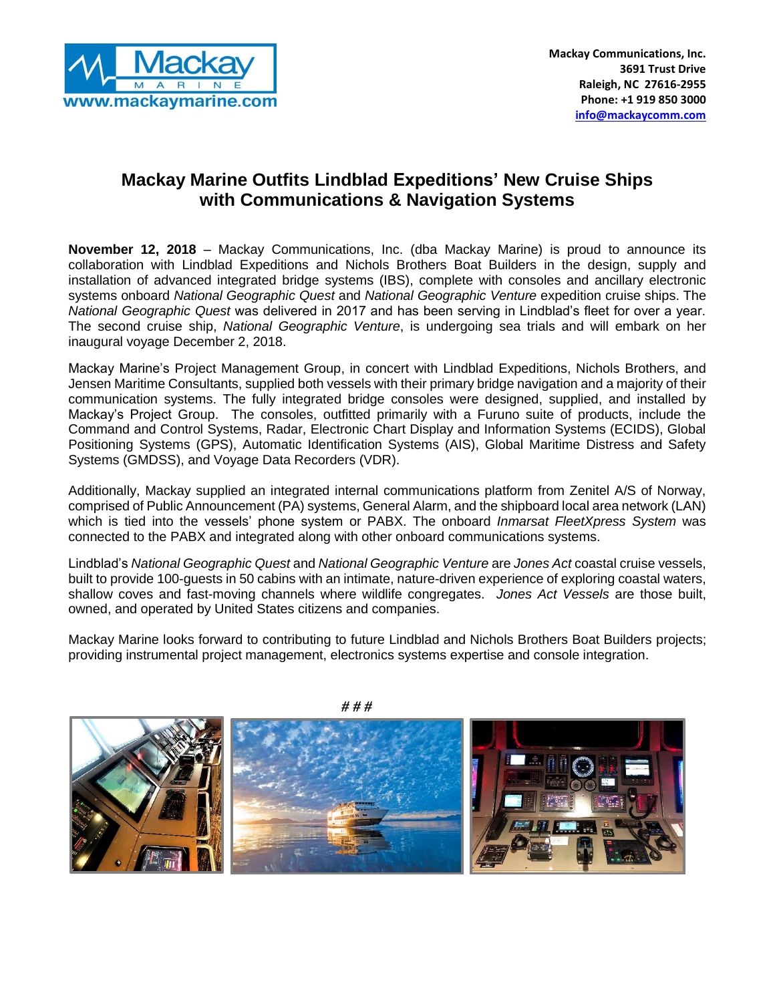

## **Mackay Marine Outfits Lindblad Expeditions' New Cruise Ships with Communications & Navigation Systems**

**November 12, 2018** – Mackay Communications, Inc. (dba Mackay Marine) is proud to announce its collaboration with Lindblad Expeditions and Nichols Brothers Boat Builders in the design, supply and installation of advanced integrated bridge systems (IBS), complete with consoles and ancillary electronic systems onboard *National Geographic Quest* and *National Geographic Venture* expedition cruise ships. The *National Geographic Quest* was delivered in 2017 and has been serving in Lindblad's fleet for over a year. The second cruise ship, *National Geographic Venture*, is undergoing sea trials and will embark on her inaugural voyage December 2, 2018.

Mackay Marine's Project Management Group, in concert with Lindblad Expeditions, Nichols Brothers, and Jensen Maritime Consultants, supplied both vessels with their primary bridge navigation and a majority of their communication systems. The fully integrated bridge consoles were designed, supplied, and installed by Mackay's Project Group. The consoles, outfitted primarily with a Furuno suite of products, include the Command and Control Systems, Radar, Electronic Chart Display and Information Systems (ECIDS), Global Positioning Systems (GPS), Automatic Identification Systems (AIS), Global Maritime Distress and Safety Systems (GMDSS), and Voyage Data Recorders (VDR).

Additionally, Mackay supplied an integrated internal communications platform from Zenitel A/S of Norway, comprised of Public Announcement (PA) systems, General Alarm, and the shipboard local area network (LAN) which is tied into the vessels' phone system or PABX. The onboard *Inmarsat FleetXpress System* was connected to the PABX and integrated along with other onboard communications systems.

Lindblad's *National Geographic Quest* and *National Geographic Venture* are *Jones Act* coastal cruise vessels, built to provide 100-guests in 50 cabins with an intimate, nature-driven experience of exploring coastal waters, shallow coves and fast-moving channels where wildlife congregates. *Jones Act Vessels* are those built, owned, and operated by United States citizens and companies.

Mackay Marine looks forward to contributing to future Lindblad and Nichols Brothers Boat Builders projects; providing instrumental project management, electronics systems expertise and console integration.



*# # #*